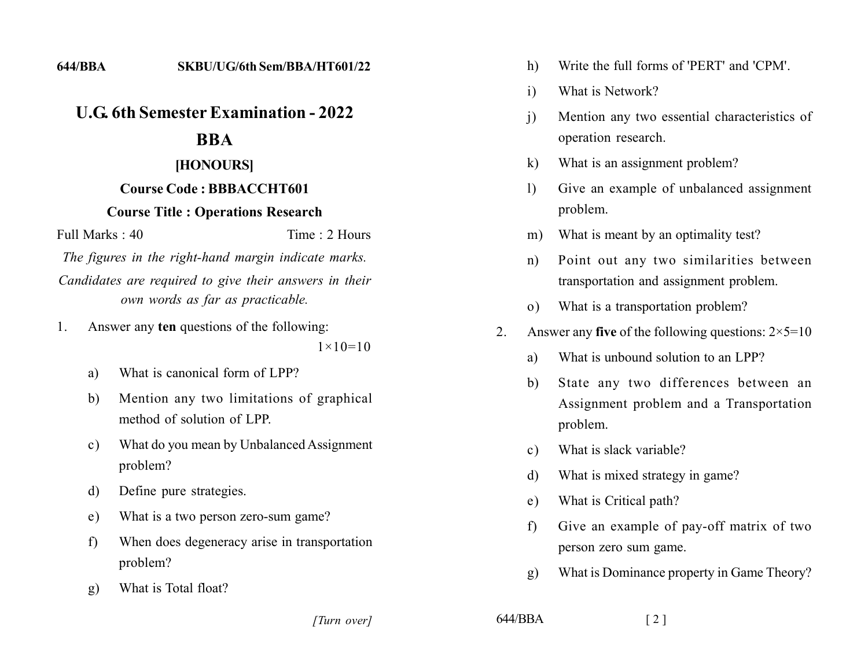# *<u>ILG 6th Semester Examination - 2022</u>*

# **222**

### [HONOURS]

# **Course Code: BBBACCHT601**

#### **Course Title : Operations Research**

 $Full Marks: 40$  Time  $\cdot$  2 Hours

*The figures in the right-hand margin indicate marks.* Candidates are required to give their answers in their *own words as far as practicable.* 

1. Answer any **ten** questions of the following:

 $1 \times 10 = 10$ 

- a) What is canonical form of LPP?
- b) Mention any two limitations of graphical method of solution of LPP
- c) What do you mean by Unbalanced Assignment problem?
- d) Define pure strategies.
- e) What is a two person zero-sum game?
- f) When does degeneracy arise in transportation problem?
- g) What is Total float?

*]]]]]] ]]]]]*

- h) Write the full forms of 'PERT' and 'CPM'.
- i) What is Network?
- i) Mention any two essential characteristics of operation research.
- k) What is an assignment problem?
- 1) Give an example of unbalanced assignment problem.
- m) What is meant by an optimality test?
- n) Point out any two similarities between transportation and assignment problem.
- o) What is a transportation problem?
- 2. Answer any five of the following questions:  $2 \times 5 = 10$ 
	- a) What is unbound solution to an LPP?
	- b) State any two differences between an Assignment problem and a Transportation problem.
	- c) What is slack variable?
	- d) What is mixed strategy in game?
	- e) What is Critical path?
	- $f$  Give an example of pay-off matrix of two person zero sum game.
	- g) What is Dominance property in Game Theory?

```
644/BBA [2]
```